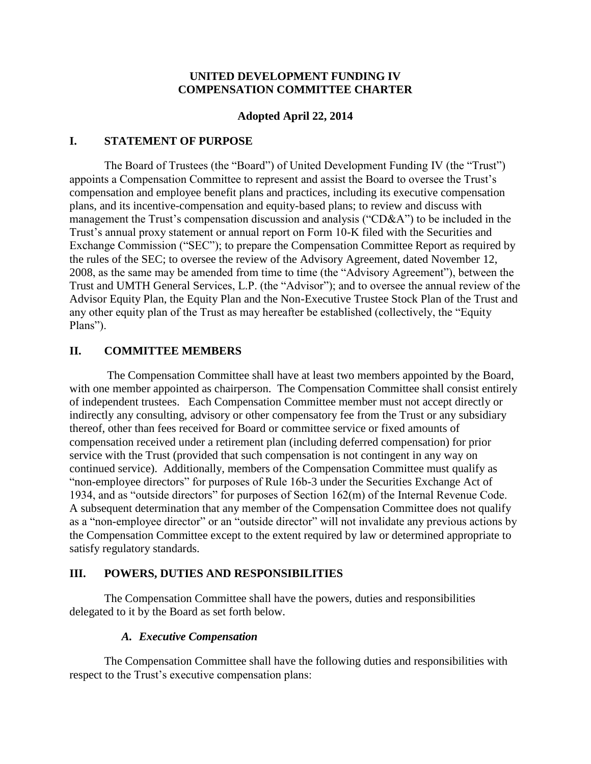### **UNITED DEVELOPMENT FUNDING IV COMPENSATION COMMITTEE CHARTER**

#### **Adopted April 22, 2014**

#### **I. STATEMENT OF PURPOSE**

The Board of Trustees (the "Board") of United Development Funding IV (the "Trust") appoints a Compensation Committee to represent and assist the Board to oversee the Trust's compensation and employee benefit plans and practices, including its executive compensation plans, and its incentive-compensation and equity-based plans; to review and discuss with management the Trust's compensation discussion and analysis ("CD&A") to be included in the Trust's annual proxy statement or annual report on Form 10-K filed with the Securities and Exchange Commission ("SEC"); to prepare the Compensation Committee Report as required by the rules of the SEC; to oversee the review of the Advisory Agreement, dated November 12, 2008, as the same may be amended from time to time (the "Advisory Agreement"), between the Trust and UMTH General Services, L.P. (the "Advisor"); and to oversee the annual review of the Advisor Equity Plan, the Equity Plan and the Non-Executive Trustee Stock Plan of the Trust and any other equity plan of the Trust as may hereafter be established (collectively, the "Equity Plans").

# **II. COMMITTEE MEMBERS**

The Compensation Committee shall have at least two members appointed by the Board, with one member appointed as chairperson. The Compensation Committee shall consist entirely of independent trustees. Each Compensation Committee member must not accept directly or indirectly any consulting, advisory or other compensatory fee from the Trust or any subsidiary thereof, other than fees received for Board or committee service or fixed amounts of compensation received under a retirement plan (including deferred compensation) for prior service with the Trust (provided that such compensation is not contingent in any way on continued service). Additionally, members of the Compensation Committee must qualify as "non-employee directors" for purposes of Rule 16b-3 under the Securities Exchange Act of 1934, and as "outside directors" for purposes of Section 162(m) of the Internal Revenue Code. A subsequent determination that any member of the Compensation Committee does not qualify as a "non-employee director" or an "outside director" will not invalidate any previous actions by the Compensation Committee except to the extent required by law or determined appropriate to satisfy regulatory standards.

### **III. POWERS, DUTIES AND RESPONSIBILITIES**

The Compensation Committee shall have the powers, duties and responsibilities delegated to it by the Board as set forth below.

### *A. Executive Compensation*

The Compensation Committee shall have the following duties and responsibilities with respect to the Trust's executive compensation plans: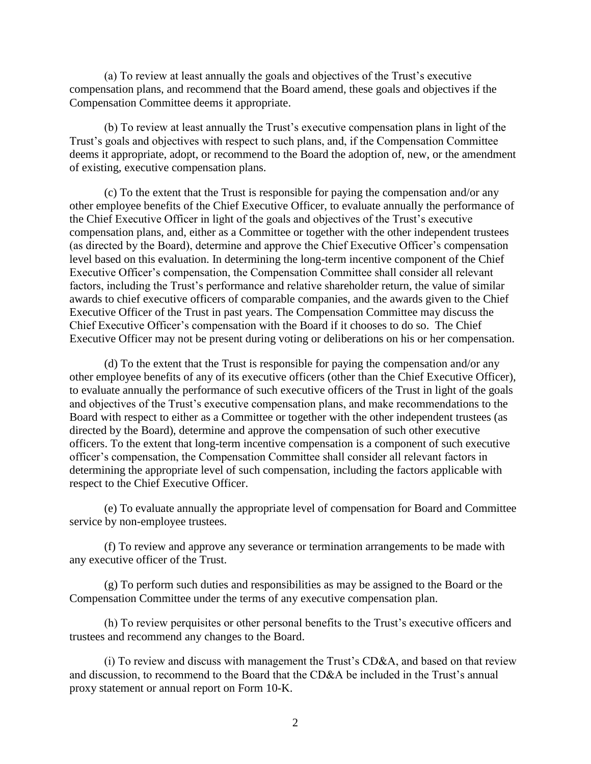(a) To review at least annually the goals and objectives of the Trust's executive compensation plans, and recommend that the Board amend, these goals and objectives if the Compensation Committee deems it appropriate.

(b) To review at least annually the Trust's executive compensation plans in light of the Trust's goals and objectives with respect to such plans, and, if the Compensation Committee deems it appropriate, adopt, or recommend to the Board the adoption of, new, or the amendment of existing, executive compensation plans.

(c) To the extent that the Trust is responsible for paying the compensation and/or any other employee benefits of the Chief Executive Officer, to evaluate annually the performance of the Chief Executive Officer in light of the goals and objectives of the Trust's executive compensation plans, and, either as a Committee or together with the other independent trustees (as directed by the Board), determine and approve the Chief Executive Officer's compensation level based on this evaluation. In determining the long-term incentive component of the Chief Executive Officer's compensation, the Compensation Committee shall consider all relevant factors, including the Trust's performance and relative shareholder return, the value of similar awards to chief executive officers of comparable companies, and the awards given to the Chief Executive Officer of the Trust in past years. The Compensation Committee may discuss the Chief Executive Officer's compensation with the Board if it chooses to do so. The Chief Executive Officer may not be present during voting or deliberations on his or her compensation.

(d) To the extent that the Trust is responsible for paying the compensation and/or any other employee benefits of any of its executive officers (other than the Chief Executive Officer), to evaluate annually the performance of such executive officers of the Trust in light of the goals and objectives of the Trust's executive compensation plans, and make recommendations to the Board with respect to either as a Committee or together with the other independent trustees (as directed by the Board), determine and approve the compensation of such other executive officers. To the extent that long-term incentive compensation is a component of such executive officer's compensation, the Compensation Committee shall consider all relevant factors in determining the appropriate level of such compensation, including the factors applicable with respect to the Chief Executive Officer.

(e) To evaluate annually the appropriate level of compensation for Board and Committee service by non-employee trustees.

(f) To review and approve any severance or termination arrangements to be made with any executive officer of the Trust.

(g) To perform such duties and responsibilities as may be assigned to the Board or the Compensation Committee under the terms of any executive compensation plan.

(h) To review perquisites or other personal benefits to the Trust's executive officers and trustees and recommend any changes to the Board.

(i) To review and discuss with management the Trust's CD&A, and based on that review and discussion, to recommend to the Board that the CD&A be included in the Trust's annual proxy statement or annual report on Form 10-K.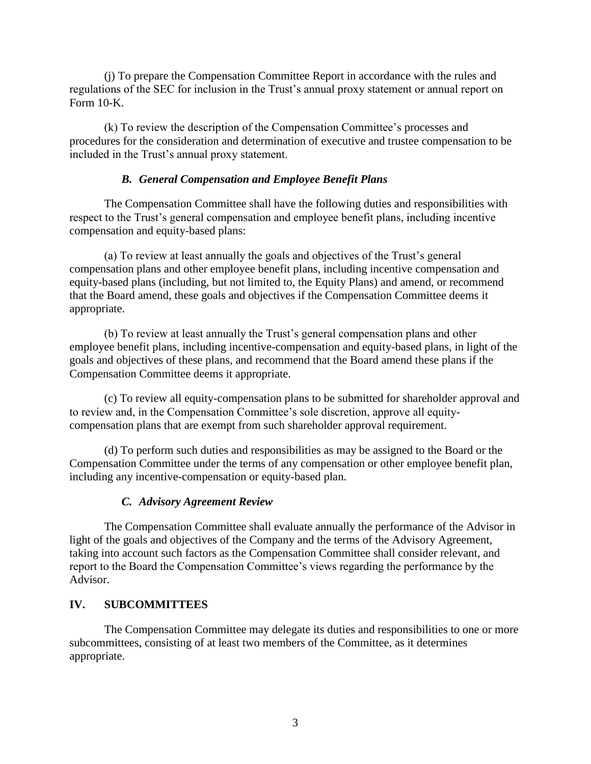(j) To prepare the Compensation Committee Report in accordance with the rules and regulations of the SEC for inclusion in the Trust's annual proxy statement or annual report on Form 10-K.

(k) To review the description of the Compensation Committee's processes and procedures for the consideration and determination of executive and trustee compensation to be included in the Trust's annual proxy statement.

# *B. General Compensation and Employee Benefit Plans*

The Compensation Committee shall have the following duties and responsibilities with respect to the Trust's general compensation and employee benefit plans, including incentive compensation and equity-based plans:

(a) To review at least annually the goals and objectives of the Trust's general compensation plans and other employee benefit plans, including incentive compensation and equity-based plans (including, but not limited to, the Equity Plans) and amend, or recommend that the Board amend, these goals and objectives if the Compensation Committee deems it appropriate.

(b) To review at least annually the Trust's general compensation plans and other employee benefit plans, including incentive-compensation and equity-based plans, in light of the goals and objectives of these plans, and recommend that the Board amend these plans if the Compensation Committee deems it appropriate.

(c) To review all equity-compensation plans to be submitted for shareholder approval and to review and, in the Compensation Committee's sole discretion, approve all equitycompensation plans that are exempt from such shareholder approval requirement.

(d) To perform such duties and responsibilities as may be assigned to the Board or the Compensation Committee under the terms of any compensation or other employee benefit plan, including any incentive-compensation or equity-based plan.

### *C. Advisory Agreement Review*

The Compensation Committee shall evaluate annually the performance of the Advisor in light of the goals and objectives of the Company and the terms of the Advisory Agreement, taking into account such factors as the Compensation Committee shall consider relevant, and report to the Board the Compensation Committee's views regarding the performance by the Advisor.

### **IV. SUBCOMMITTEES**

The Compensation Committee may delegate its duties and responsibilities to one or more subcommittees, consisting of at least two members of the Committee, as it determines appropriate.